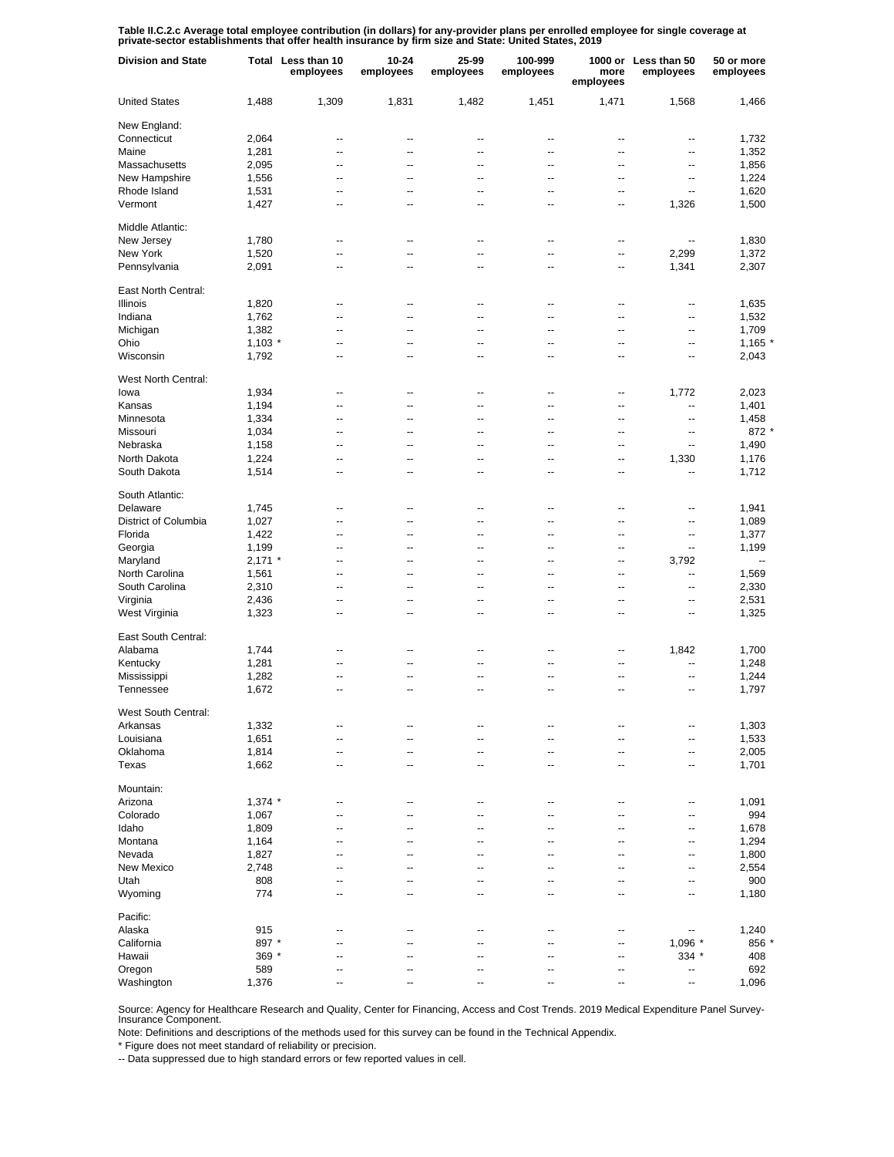Table II.C.2.c Average total employee contribution (in dollars) for any-provider plans per enrolled employee for single coverage at<br>private-sector establishments that offer health insurance by firm size and State: United S

| <b>Division and State</b> |           | Total Less than 10<br>employees | 10-24<br>employees | 25-99<br>employees | 100-999<br>employees | more<br>employees | 1000 or Less than 50<br>employees | 50 or more<br>employees  |
|---------------------------|-----------|---------------------------------|--------------------|--------------------|----------------------|-------------------|-----------------------------------|--------------------------|
| <b>United States</b>      | 1,488     | 1,309                           | 1,831              | 1,482              | 1,451                | 1,471             | 1,568                             | 1,466                    |
| New England:              |           |                                 |                    |                    |                      |                   |                                   |                          |
| Connecticut               | 2,064     | --                              | --                 | ٠.                 | --                   | ц.                | --                                | 1,732                    |
| Maine                     | 1,281     | $\overline{a}$                  | --                 | $\overline{a}$     | $\overline{a}$       | $\overline{a}$    | --                                | 1,352                    |
| Massachusetts             | 2,095     | $\overline{a}$                  | --                 | $\overline{a}$     | $\overline{a}$       | $\overline{a}$    | ٠.                                | 1,856                    |
| New Hampshire             | 1,556     | $\overline{a}$                  | --                 | $\overline{a}$     | $\overline{a}$       | $\overline{a}$    | --                                | 1,224                    |
| Rhode Island              | 1,531     | $\overline{a}$                  | -−                 | $\overline{a}$     | Ξ.                   | ц,                | $\overline{a}$                    | 1,620                    |
| Vermont                   | 1,427     | $\overline{a}$                  | --                 | ٠.                 | --                   | ц.                | 1,326                             | 1,500                    |
| Middle Atlantic:          |           |                                 |                    |                    |                      |                   |                                   |                          |
| New Jersey                | 1,780     | --                              | --                 | --                 | --                   | --                |                                   | 1,830                    |
| New York                  | 1,520     | --                              | --                 | $\overline{a}$     | $\overline{a}$       | $\ddotsc$         | 2,299                             | 1,372                    |
| Pennsylvania              | 2,091     | --                              | $\overline{a}$     | $\overline{a}$     | --                   | --                | 1,341                             | 2,307                    |
| East North Central:       |           |                                 |                    |                    |                      |                   |                                   |                          |
| Illinois                  | 1,820     | --                              | --                 | ٠.                 | --                   | ц.                | ٠.                                | 1,635                    |
| Indiana                   | 1,762     | $\overline{a}$                  | --                 | $\overline{a}$     | $\overline{a}$       | $\overline{a}$    | --                                | 1,532                    |
| Michigan                  | 1,382     | $\overline{a}$                  | --                 | $\overline{a}$     | $\overline{a}$       | $\overline{a}$    | --                                | 1,709                    |
| Ohio                      | $1,103$ * | --                              | --                 | ٠.                 | $\overline{a}$       | $\overline{a}$    | --                                | $1,165$ *                |
| Wisconsin                 | 1,792     | --                              | --                 | $\overline{a}$     | $\overline{a}$       | $\overline{a}$    | ٠.                                | 2,043                    |
| West North Central:       |           |                                 |                    |                    |                      |                   |                                   |                          |
| lowa                      | 1,934     | $\overline{a}$                  | --                 | ٠.                 | --                   | --                | 1,772                             | 2,023                    |
| Kansas                    | 1,194     | $\overline{a}$                  | --                 | $\overline{a}$     | $\overline{a}$       | $\overline{a}$    | --                                | 1,401                    |
| Minnesota                 | 1,334     | $\overline{a}$                  | --                 | $\overline{a}$     | $\overline{a}$       | $\overline{a}$    | $\overline{a}$                    | 1,458                    |
| Missouri                  | 1,034     | $\overline{a}$                  | --                 | $\overline{a}$     | $\overline{a}$       | $\overline{a}$    | --                                | $872*$                   |
| Nebraska                  | 1,158     | --                              | --                 | $\overline{a}$     | Ξ.                   | $\overline{a}$    | $\overline{a}$                    | 1,490                    |
| North Dakota              | 1,224     | $\overline{a}$                  | --                 | $\overline{a}$     | --                   | --                | 1,330                             | 1,176                    |
| South Dakota              | 1,514     | $\overline{a}$                  | --                 | ٠.                 | --                   | ц.                | ٠.                                | 1,712                    |
| South Atlantic:           |           |                                 |                    |                    |                      |                   |                                   |                          |
| Delaware                  | 1,745     | --                              | --                 | --                 | --                   | --                | --                                | 1,941                    |
| District of Columbia      | 1,027     | $\overline{a}$                  | $\overline{a}$     | $\overline{a}$     | $\overline{a}$       | $\overline{a}$    | $\overline{\phantom{a}}$          | 1,089                    |
| Florida                   | 1,422     | --                              | --                 | --                 | $\overline{a}$       | --                | --                                | 1,377                    |
| Georgia                   | 1,199     | --                              | --                 | --                 | --                   | --                | $\overline{\phantom{a}}$          | 1,199                    |
| Maryland                  | $2,171$ * | --                              | --                 | --                 | --                   | $\overline{a}$    | 3,792                             | $\overline{\phantom{a}}$ |
| North Carolina            | 1,561     | --                              | --                 | --                 | --                   | --                | --                                | 1,569                    |
| South Carolina            | 2,310     | --                              | --                 | --                 | --                   | --                | --                                | 2,330                    |
| Virginia                  | 2,436     | --                              | --                 | --                 | --                   | --                | --                                | 2,531                    |
|                           |           | --                              | --                 | --                 | --                   | --                |                                   |                          |
| West Virginia             | 1,323     |                                 |                    |                    |                      |                   | --                                | 1,325                    |
| East South Central:       |           |                                 |                    |                    |                      |                   |                                   |                          |
| Alabama                   | 1,744     | --                              | --                 | ٠.                 | --                   | --                | 1,842                             | 1,700                    |
| Kentucky                  | 1,281     | $\overline{a}$                  | --                 | $\overline{a}$     | $\overline{a}$       | μ.                | ц,                                | 1,248                    |
| Mississippi               | 1,282     | $\overline{a}$                  | --                 | $\overline{a}$     | $\overline{a}$       | $\overline{a}$    | ц,                                | 1,244                    |
| Tennessee                 | 1,672     | $\overline{a}$                  | --                 | $\overline{a}$     | $\overline{a}$       | ц.                | --                                | 1,797                    |
| West South Central:       |           |                                 |                    |                    |                      |                   |                                   |                          |
| Arkansas                  | 1,332     |                                 |                    |                    |                      |                   | --                                | 1,303                    |
| Louisiana                 | 1,651     | $\overline{a}$                  | --                 | ٠.                 | --                   | ц.                | --                                | 1,533                    |
| Oklahoma                  | 1,814     | $\overline{a}$                  | --                 | $\overline{a}$     | --                   | --                | --                                | 2,005                    |
| Texas                     | 1,662     | --                              | --                 | $\overline{a}$     | --                   | ц.                | --                                | 1,701                    |
| Mountain:                 |           |                                 |                    |                    |                      |                   |                                   |                          |
| Arizona                   | $1,374$ * | --                              | --                 | --                 | --                   | --                | --                                | 1,091                    |
| Colorado                  | 1,067     | --                              | --                 | --                 | --                   | --                | --                                | 994                      |
| Idaho                     | 1,809     | --                              | --                 | --                 | --                   | --                | --                                | 1,678                    |
| Montana                   | 1,164     | --                              | --                 | --                 | --                   | --                | --                                | 1,294                    |
| Nevada                    | 1,827     | --                              | --                 | --                 | --                   | --                | $\overline{\phantom{a}}$          | 1,800                    |
| New Mexico                | 2,748     | --                              | --                 | --                 | --                   | --                | --                                | 2,554                    |
| Utah                      | 808       | --                              | --                 | --                 | --                   | --                | $\overline{\phantom{a}}$          | 900                      |
| Wyoming                   | 774       | $\overline{a}$                  | --                 | $\overline{a}$     | $\overline{a}$       | $\overline{a}$    | $\overline{a}$                    | 1,180                    |
| Pacific:                  |           |                                 |                    |                    |                      |                   |                                   |                          |
|                           |           |                                 |                    |                    |                      |                   |                                   |                          |
| Alaska                    | 915       | Ξ.                              | Ξ.                 | Ξ.                 | Ξ.                   | --                | --                                | 1,240                    |
| California                | 897 *     | $\overline{a}$                  | --                 | $\overline{a}$     | $\overline{a}$       | $\overline{a}$    | 1,096 *                           | 856                      |
| Hawaii                    | 369 *     | $\overline{a}$                  | --                 | $\overline{a}$     | $\overline{a}$       | ц.                | 334 *                             | 408                      |
| Oregon                    | 589       | $\overline{a}$                  | --                 | $\overline{a}$     | $\overline{a}$       | $\overline{a}$    | --                                | 692                      |
| Washington                | 1,376     |                                 |                    |                    |                      |                   | --                                | 1,096                    |

Source: Agency for Healthcare Research and Quality, Center for Financing, Access and Cost Trends. 2019 Medical Expenditure Panel Survey-Insurance Component.

Note: Definitions and descriptions of the methods used for this survey can be found in the Technical Appendix.

\* Figure does not meet standard of reliability or precision.

-- Data suppressed due to high standard errors or few reported values in cell.